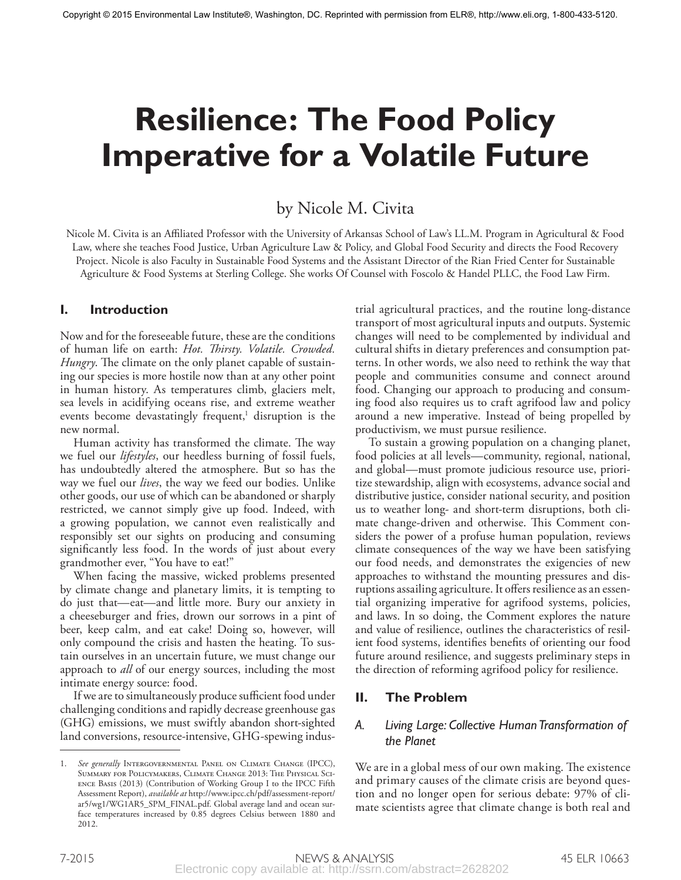# **Resilience: The Food Policy Imperative for a Volatile Future**

## by Nicole M. Civita

Nicole M. Civita is an Afliated Professor with the University of Arkansas School of Law's LL.M. Program in Agricultural & Food Law, where she teaches Food Justice, Urban Agriculture Law & Policy, and Global Food Security and directs the Food Recovery Project. Nicole is also Faculty in Sustainable Food Systems and the Assistant Director of the Rian Fried Center for Sustainable Agriculture & Food Systems at Sterling College. She works Of Counsel with Foscolo & Handel PLLC, the Food Law Firm.

## **I. Introduction**

Now and for the foreseeable future, these are the conditions of human life on earth: *Hot. Tirsty. Volatile. Crowded. Hungry*. The climate on the only planet capable of sustaining our species is more hostile now than at any other point in human history. As temperatures climb, glaciers melt, sea levels in acidifying oceans rise, and extreme weather events become devastatingly frequent,<sup>1</sup> disruption is the new normal.

Human activity has transformed the climate. The way we fuel our *lifestyles*, our heedless burning of fossil fuels, has undoubtedly altered the atmosphere. But so has the way we fuel our *lives*, the way we feed our bodies. Unlike other goods, our use of which can be abandoned or sharply restricted, we cannot simply give up food. Indeed, with a growing population, we cannot even realistically and responsibly set our sights on producing and consuming signifcantly less food. In the words of just about every grandmother ever, "You have to eat!"

When facing the massive, wicked problems presented by climate change and planetary limits, it is tempting to do just that—eat—and little more. Bury our anxiety in a cheeseburger and fries, drown our sorrows in a pint of beer, keep calm, and eat cake! Doing so, however, will only compound the crisis and hasten the heating. To sustain ourselves in an uncertain future, we must change our approach to *all* of our energy sources, including the most intimate energy source: food.

If we are to simultaneously produce sufficient food under challenging conditions and rapidly decrease greenhouse gas (GHG) emissions, we must swiftly abandon short-sighted land conversions, resource-intensive, GHG-spewing industrial agricultural practices, and the routine long-distance transport of most agricultural inputs and outputs. Systemic changes will need to be complemented by individual and cultural shifts in dietary preferences and consumption patterns. In other words, we also need to rethink the way that people and communities consume and connect around food. Changing our approach to producing and consuming food also requires us to craft agrifood law and policy around a new imperative. Instead of being propelled by productivism, we must pursue resilience.

To sustain a growing population on a changing planet, food policies at all levels—community, regional, national, and global—must promote judicious resource use, prioritize stewardship, align with ecosystems, advance social and distributive justice, consider national security, and position us to weather long- and short-term disruptions, both climate change-driven and otherwise. This Comment considers the power of a profuse human population, reviews climate consequences of the way we have been satisfying our food needs, and demonstrates the exigencies of new approaches to withstand the mounting pressures and disruptions assailing agriculture. It offers resilience as an essential organizing imperative for agrifood systems, policies, and laws. In so doing, the Comment explores the nature and value of resilience, outlines the characteristics of resilient food systems, identifes benefts of orienting our food future around resilience, and suggests preliminary steps in the direction of reforming agrifood policy for resilience.

## **II. The Problem**

## *A. Living Large: Collective Human Transformation of the Planet*

We are in a global mess of our own making. The existence and primary causes of the climate crisis are beyond question and no longer open for serious debate: 97% of climate scientists agree that climate change is both real and

<sup>1.</sup> See generally INTERGOVERNMENTAL PANEL ON CLIMATE CHANGE (IPCC), Summary for Policymakers, Climate Change 2013: The Physical Science Basis (2013) (Contribution of Working Group I to the IPCC Fifth Assessment Report), *available at* http://www.ipcc.ch/pdf/assessment-report/ ar5/wg1/WG1AR5\_SPM\_FINAL.pdf. Global average land and ocean surface temperatures increased by 0.85 degrees Celsius between 1880 and 2012.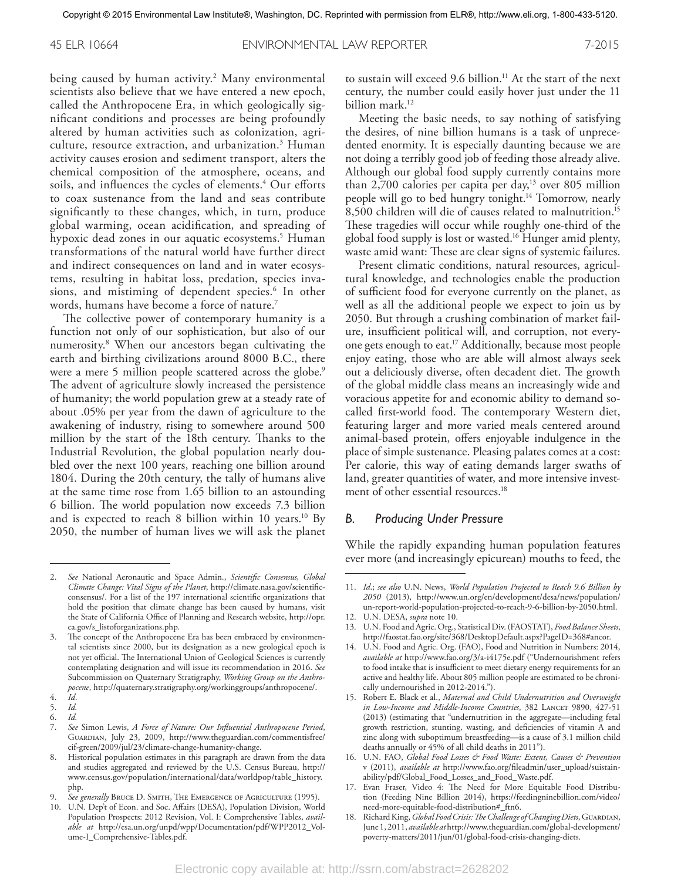being caused by human activity. 2 Many environmental scientists also believe that we have entered a new epoch, called the Anthropocene Era, in which geologically signifcant conditions and processes are being profoundly altered by human activities such as colonization, agriculture, resource extraction, and urbanization. 3 Human activity causes erosion and sediment transport, alters the chemical composition of the atmosphere, oceans, and soils, and influences the cycles of elements.<sup>4</sup> Our efforts to coax sustenance from the land and seas contribute signifcantly to these changes, which, in turn, produce global warming, ocean acidifcation, and spreading of hypoxic dead zones in our aquatic ecosystems. 5 Human transformations of the natural world have further direct and indirect consequences on land and in water ecosystems, resulting in habitat loss, predation, species invasions, and mistiming of dependent species. 6 In other words, humans have become a force of nature. 7

The collective power of contemporary humanity is a function not only of our sophistication, but also of our numerosity. 8 When our ancestors began cultivating the earth and birthing civilizations around 8000 B.C., there were a mere 5 million people scattered across the globe. 9 The advent of agriculture slowly increased the persistence of humanity; the world population grew at a steady rate of about .05% per year from the dawn of agriculture to the awakening of industry, rising to somewhere around 500 million by the start of the 18th century. Thanks to the Industrial Revolution, the global population nearly doubled over the next 100 years, reaching one billion around 1804. During the 20th century, the tally of humans alive at the same time rose from 1.65 billion to an astounding 6 billion. The world population now exceeds 7.3 billion and is expected to reach 8 billion within 10 years.<sup>10</sup> By 2050, the number of human lives we will ask the planet

to sustain will exceed 9.6 billion. 11 At the start of the next century, the number could easily hover just under the 11 billion mark. 12

Meeting the basic needs, to say nothing of satisfying the desires, of nine billion humans is a task of unprecedented enormity. It is especially daunting because we are not doing a terribly good job of feeding those already alive. Although our global food supply currently contains more than 2,700 calories per capita per day,<sup>13</sup> over 805 million people will go to bed hungry tonight. 14 Tomorrow, nearly 8,500 children will die of causes related to malnutrition. 15 These tragedies will occur while roughly one-third of the global food supply is lost or wasted. 16 Hunger amid plenty, waste amid want: These are clear signs of systemic failures.

Present climatic conditions, natural resources, agricultural knowledge, and technologies enable the production of sufficient food for everyone currently on the planet, as well as all the additional people we expect to join us by 2050. But through a crushing combination of market failure, insufficient political will, and corruption, not everyone gets enough to eat. 17 Additionally, because most people enjoy eating, those who are able will almost always seek out a deliciously diverse, often decadent diet. The growth of the global middle class means an increasingly wide and voracious appetite for and economic ability to demand socalled first-world food. The contemporary Western diet, featuring larger and more varied meals centered around animal-based protein, offers enjoyable indulgence in the place of simple sustenance. Pleasing palates comes at a cost: Per calorie, this way of eating demands larger swaths of land, greater quantities of water, and more intensive investment of other essential resources. 18

#### *B. Producing Under Pressure*

While the rapidly expanding human population features ever more (and increasingly epicurean) mouths to feed, the

<sup>2.</sup> See National Aeronautic and Space Admin., Scientific Consensus, Global *Climate Change: Vital Signs of the Planet, http://climate.nasa.gov/scientific*consensus/. For a list of the 197 international scientifc organizations that hold the position that climate change has been caused by humans, visit the State of California Office of Planning and Research website, http://opr. ca.gov/s\_listoforganizations.php.

The concept of the Anthropocene Era has been embraced by environmental scientists since 2000, but its designation as a new geological epoch is not yet official. The International Union of Geological Sciences is currently contemplating designation and will issue its recommendation in 2016. See Subcommission on Quaternary Stratigraphy, *Working Group on the Anthropocene*, http://quaternary.stratigraphy.org/workinggroups/anthropocene/.

<sup>4.</sup> *Id*. 5. *Id.*

<sup>6.</sup> *Id.*

See Simon Lewis, *A Force of Nature: Our Influential Anthropocene Period*, Guardian, July 23, 2009, http://www.theguardian.com/commentisfree/ cif-green/2009/jul/23/climate-change-humanity-change.

<sup>8.</sup> Historical population estimates in this paragraph are drawn from the data and studies aggregated and reviewed by the U.S. Census Bureau, http:// www.census.gov/population/international/data/worldpop/table\_history. php.

See generally BRUCE D. SMITH, THE EMERGENCE OF AGRICULTURE (1995).

<sup>10.</sup> U.N. Dep't of Econ. and Soc. Afairs (DESA), Population Division, World Population Prospects: 2012 Revision, Vol. I: Comprehensive Tables, *available at* http://esa.un.org/unpd/wpp/Documentation/pdf/WPP2012\_Volume-I\_Comprehensive-Tables.pdf.

<sup>11.</sup> *Id.*; see also U.N. News, World Population Projected to Reach 9.6 Billion by *2050* (2013), http://www.un.org/en/development/desa/news/population/ un-report-world-population-projected-to-reach-9-6-billion-by-2050.html. 12. U.N. DESA, *supra* note 10.

U.N. Food and Agric. Org., Statistical Div. (FAOSTAT), *Food Balance Sheets*, http://faostat.fao.org/site/368/DesktopDefault.aspx?PageID=368#ancor.

<sup>14.</sup> U.N. Food and Agric. Org. (FAO), Food and Nutrition in Numbers: 2014, *available at* http://www.fao.org/3/a-i4175e.pdf ("Undernourishment refers to food intake that is insufficient to meet dietary energy requirements for an active and healthy life. About 805 million people are estimated to be chronically undernourished in 2012-2014.").

<sup>15.</sup> Robert E. Black et al., *Maternal and Child Undernutrition and Overweight in Low-Income and Middle-Income Countries*, 382 LANCET 9890, 427-51 (2013) (estimating that "undernutrition in the aggregate—including fetal growth restriction, stunting, wasting, and defciencies of vitamin A and zinc along with suboptimum breastfeeding—is a cause of 3.1 million child deaths annually or 45% of all child deaths in 2011").

<sup>16.</sup> U.N. FAO, Global Food Losses & Food Waste: Extent, Causes & Prevention v (2011), *available at* http://www.fao.org/fleadmin/user\_upload/suistainability/pdf/Global\_Food\_Losses\_and\_Food\_Waste.pdf.

<sup>17.</sup> Evan Fraser, Video 4: The Need for More Equitable Food Distribution (Feeding Nine Billion 2014), https://feedingninebillion.com/video/ need-more-equitable-food-distribution#\_ftn6.

<sup>18.</sup> Richard King, *Global Food Crisis: The Challenge of Changing Diets*, GUARDIAN, June 1, 2011, *available at* http://www.theguardian.com/global-development/ poverty-matters/2011/jun/01/global-food-crisis-changing-diets.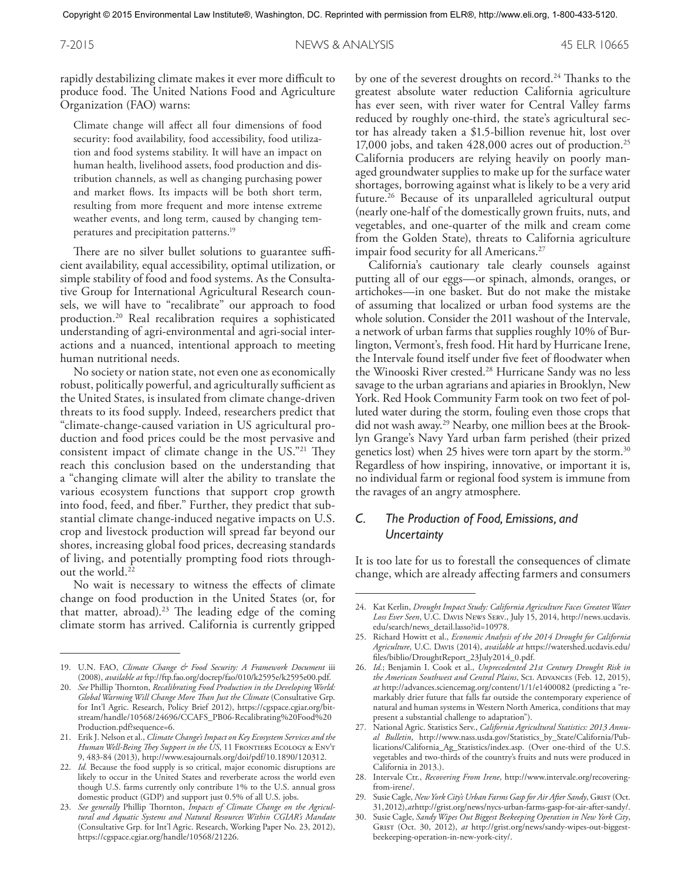rapidly destabilizing climate makes it ever more difficult to produce food. The United Nations Food and Agriculture Organization (FAO) warns:

Climate change will afect all four dimensions of food security: food availability, food accessibility, food utilization and food systems stability. It will have an impact on human health, livelihood assets, food production and distribution channels, as well as changing purchasing power and market fows. Its impacts will be both short term, resulting from more frequent and more intense extreme weather events, and long term, caused by changing temperatures and precipitation patterns. 19

There are no silver bullet solutions to guarantee sufficient availability, equal accessibility, optimal utilization, or simple stability of food and food systems. As the Consultative Group for International Agricultural Research counsels, we will have to "recalibrate" our approach to food production. 20 Real recalibration requires a sophisticated understanding of agri-environmental and agri-social interactions and a nuanced, intentional approach to meeting human nutritional needs.

No society or nation state, not even one as economically robust, politically powerful, and agriculturally sufficient as the United States, is insulated from climate change-driven threats to its food supply. Indeed, researchers predict that "climate-change-caused variation in US agricultural production and food prices could be the most pervasive and consistent impact of climate change in the US."21 They reach this conclusion based on the understanding that a "changing climate will alter the ability to translate the various ecosystem functions that support crop growth into food, feed, and fber." Further, they predict that substantial climate change-induced negative impacts on U.S. crop and livestock production will spread far beyond our shores, increasing global food prices, decreasing standards of living, and potentially prompting food riots throughout the world. 22

No wait is necessary to witness the efects of climate change on food production in the United States (or, for that matter, abroad).<sup>23</sup> The leading edge of the coming climate storm has arrived. California is currently gripped

by one of the severest droughts on record.<sup>24</sup> Thanks to the greatest absolute water reduction California agriculture has ever seen, with river water for Central Valley farms reduced by roughly one-third, the state's agricultural sector has already taken a \$1.5-billion revenue hit, lost over 17,000 jobs, and taken 428,000 acres out of production. 25 California producers are relying heavily on poorly managed groundwater supplies to make up for the surface water shortages, borrowing against what is likely to be a very arid future. 26 Because of its unparalleled agricultural output (nearly one-half of the domestically grown fruits, nuts, and vegetables, and one-quarter of the milk and cream come from the Golden State), threats to California agriculture impair food security for all Americans. 27

California's cautionary tale clearly counsels against putting all of our eggs—or spinach, almonds, oranges, or artichokes—in one basket. But do not make the mistake of assuming that localized or urban food systems are the whole solution. Consider the 2011 washout of the Intervale, a network of urban farms that supplies roughly 10% of Burlington, Vermont's, fresh food. Hit hard by Hurricane Irene, the Intervale found itself under fve feet of foodwater when the Winooski River crested. 28 Hurricane Sandy was no less savage to the urban agrarians and apiaries in Brooklyn, New York. Red Hook Community Farm took on two feet of polluted water during the storm, fouling even those crops that did not wash away. 29 Nearby, one million bees at the Brooklyn Grange's Navy Yard urban farm perished (their prized genetics lost) when 25 hives were torn apart by the storm. 30 Regardless of how inspiring, innovative, or important it is, no individual farm or regional food system is immune from the ravages of an angry atmosphere.

## *C. The Production of Food, Emissions, and Uncertainty*

It is too late for us to forestall the consequences of climate change, which are already afecting farmers and consumers

- 29. Susie Cagle, *New York City's Urban Farms Gasp for Air After Sandy*, GRIST (Oct. 31, 2012), *at* http://grist.org/news/nycs-urban-farms-gasp-for-air-after-sandy/.
- 30. Susie Cagle, *Sandy Wipes Out Biggest Beekeeping Operation in New York City*, Grist (Oct. 30, 2012), *at* http://grist.org/news/sandy-wipes-out-biggestbeekeeping-operation-in-new-york-city/.

<sup>19.</sup> U.N. FAO, *Climate Change & Food Security: A Framework Document* iii (2008), *available at* ftp://ftp.fao.org/docrep/fao/010/k2595e/k2595e00.pdf.

<sup>20.</sup> See Phillip Thornton, *Recalibrating Food Production in the Developing World*: *Global Warming Will Change More Tan Just the Climate* (Consultative Grp. for Int'l Agric. Research, Policy Brief 2012), https://cgspace.cgiar.org/bitstream/handle/10568/24696/CCAFS\_PB06-Recalibrating%20Food%20 Production.pdf?sequence=6.

<sup>21.</sup> Erik J. Nelson et al., *Climate Change's Impact on Key Ecosystem Services and the* Human Well-Being They Support in the US, 11 FRONTIERS ECOLOGY & ENV'T 9, 483-84 (2013), http://www.esajournals.org/doi/pdf/10.1890/120312.

<sup>22.</sup> *Id.* Because the food supply is so critical, major economic disruptions are likely to occur in the United States and reverberate across the world even though U.S. farms currently only contribute 1% to the U.S. annual gross domestic product (GDP) and support just 0.5% of all U.S. jobs.

<sup>23.</sup> See generally Phillip Thornton, *Impacts of Climate Change on the Agricul*tural and Aquatic Systems and Natural Resources Within CGIAR's Mandate (Consultative Grp. for Int'l Agric. Research, Working Paper No. 23, 2012), https://cgspace.cgiar.org/handle/10568/21226.

<sup>24.</sup> Kat Kerlin, *Drought Impact Study: California Agriculture Faces Greatest Water* Loss Ever Seen, U.C. Davis News Serv., July 15, 2014, http://news.ucdavis. edu/search/news\_detail.lasso?id=10978.

<sup>25.</sup> Richard Howitt et al., *Economic Analysis of the 2014 Drought for California* Agriculture, U.C. Davis (2014), *available at* https://watershed.ucdavis.edu/ fles/biblio/DroughtReport\_23July2014\_0.pdf.

<sup>26.</sup> *Id.*; Benjamin I. Cook et al., *Unprecedented 21st Century Drought Risk in* the American Southwest and Central Plains, Sci. ADVANCES (Feb. 12, 2015), *at* http://advances.sciencemag.org/content/1/1/e1400082 (predicting a "remarkably drier future that falls far outside the contemporary experience of natural and human systems in Western North America, conditions that may present a substantial challenge to adaptation").

<sup>27.</sup> National Agric. Statistics Serv., *California Agricultural Statistics: 2013 Annual Bulletin*, http://www.nass.usda.gov/Statistics\_by\_State/California/Publications/California\_Ag\_Statistics/index.asp. (Over one-third of the U.S. vegetables and two-thirds of the country's fruits and nuts were produced in California in 2013.).

<sup>28.</sup> Intervale Ctr., *Recovering From Irene*, http://www.intervale.org/recoveringfrom-irene/.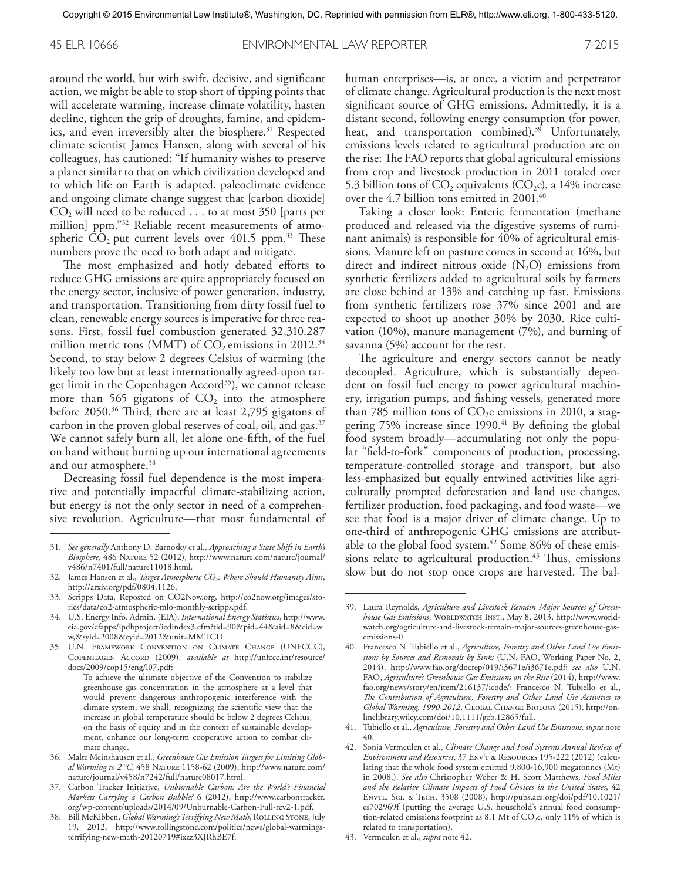around the world, but with swift, decisive, and signifcant action, we might be able to stop short of tipping points that will accelerate warming, increase climate volatility, hasten decline, tighten the grip of droughts, famine, and epidemics, and even irreversibly alter the biosphere. 31 Respected climate scientist James Hansen, along with several of his colleagues, has cautioned: "If humanity wishes to preserve a planet similar to that on which civilization developed and to which life on Earth is adapted, paleoclimate evidence and ongoing climate change suggest that [carbon dioxide]  $CO<sub>2</sub>$  will need to be reduced  $\ldots$  to at most 350 [parts per million] ppm."32 Reliable recent measurements of atmospheric  $CO_2$  put current levels over 401.5 ppm.<sup>33</sup> These numbers prove the need to both adapt and mitigate.

The most emphasized and hotly debated efforts to reduce GHG emissions are quite appropriately focused on the energy sector, inclusive of power generation, industry, and transportation. Transitioning from dirty fossil fuel to clean, renewable energy sources is imperative for three reasons. First, fossil fuel combustion generated 32,310.287 million metric tons (MMT) of  $\mathrm{CO}_2$  emissions in 2012.<sup>34</sup> Second, to stay below 2 degrees Celsius of warming (the likely too low but at least internationally agreed-upon target limit in the Copenhagen Accord<sup>35</sup>), we cannot release more than 565 gigatons of  $CO<sub>2</sub>$  into the atmosphere before 2050. <sup>36</sup> Tird, there are at least 2,795 gigatons of carbon in the proven global reserves of coal, oil, and gas. 37 We cannot safely burn all, let alone one-ffth, of the fuel on hand without burning up our international agreements and our atmosphere. 38

Decreasing fossil fuel dependence is the most imperative and potentially impactful climate-stabilizing action, but energy is not the only sector in need of a comprehensive revolution. Agriculture—that most fundamental of human enterprises—is, at once, a victim and perpetrator of climate change. Agricultural production is the next most signifcant source of GHG emissions. Admittedly, it is a distant second, following energy consumption (for power, heat, and transportation combined). 39 Unfortunately, emissions levels related to agricultural production are on the rise: The FAO reports that global agricultural emissions from crop and livestock production in 2011 totaled over 5.3 billion tons of  $CO<sub>2</sub>$  equivalents ( $CO<sub>2</sub>$ e), a 14% increase over the 4.7 billion tons emitted in 2001. 40

Taking a closer look: Enteric fermentation (methane produced and released via the digestive systems of ruminant animals) is responsible for 40% of agricultural emissions. Manure left on pasture comes in second at 16%, but direct and indirect nitrous oxide  $(N_2O)$  emissions from synthetic fertilizers added to agricultural soils by farmers are close behind at 13% and catching up fast. Emissions from synthetic fertilizers rose 37% since 2001 and are expected to shoot up another 30% by 2030. Rice cultivation (10%), manure management (7%), and burning of savanna (5%) account for the rest.

The agriculture and energy sectors cannot be neatly decoupled. Agriculture, which is substantially dependent on fossil fuel energy to power agricultural machinery, irrigation pumps, and fshing vessels, generated more than 785 million tons of  $CO<sub>2</sub>e$  emissions in 2010, a staggering 75% increase since 1990. 41 By defning the global food system broadly—accumulating not only the popular "feld-to-fork" components of production, processing, temperature-controlled storage and transport, but also less-emphasized but equally entwined activities like agriculturally prompted deforestation and land use changes, fertilizer production, food packaging, and food waste—we see that food is a major driver of climate change. Up to one-third of anthropogenic GHG emissions are attributable to the global food system. 42 Some 86% of these emissions relate to agricultural production.<sup>43</sup> Thus, emissions slow but do not stop once crops are harvested. The bal-

<sup>31.</sup> See generally Anthony D. Barnosky et al., *Approaching a State Shift in Earth's Biosphere*, 486 Nature 52 (2012), http://www.nature.com/nature/journal/ v486/n7401/full/nature11018.html.

<sup>32.</sup> James Hansen et al., *Target Atmospheric CO<sub>2</sub>: Where Should Humanity Aim?*, http://arxiv.org/pdf/0804.1126.

<sup>33.</sup> Scripps Data, Reposted on CO2Now.org, http://co2now.org/images/stories/data/co2-atmospheric-mlo-monthly-scripps.pdf.

<sup>34.</sup> U.S. Energy Info. Admin. (EIA), *International Energy Statistics*, http://www. eia.gov/cfapps/ipdbproject/iedindex3.cfm?tid=90&pid=44&aid=8&cid=w w,&syid=2008&eyid=2012&unit=MMTCD.

<sup>35.</sup> U.N. Framework Convention on Climate Change (UNFCCC), Copenhagen Accord (2009), *available at* http://unfccc.int/resource/ docs/2009/cop15/eng/l07.pdf:

To achieve the ultimate objective of the Convention to stabilize greenhouse gas concentration in the atmosphere at a level that would prevent dangerous anthropogenic interference with the climate system, we shall, recognizing the scientifc view that the increase in global temperature should be below 2 degrees Celsius, on the basis of equity and in the context of sustainable development, enhance our long-term cooperative action to combat climate change.

<sup>36.</sup> Malte Meinshausen et al., *Greenhouse Gas Emission Targets for Limiting Global Warming to 2°C*, 458 Nature 1158-62 (2009), http://www.nature.com/ nature/journal/v458/n7242/full/nature08017.html.

<sup>37.</sup> Carbon Tracker Initiative, *Unburnable Carbon: Are the World's Financial Markets Carrying a Carbon Bubble?* 6 (2012), http://www.carbontracker. org/wp-content/uploads/2014/09/Unburnable-Carbon-Full-rev2-1.pdf.

<sup>38.</sup> Bill McKibben, *Global Warming's Terrifying New Math*, ROLLING STONE, July 19, 2012, http://www.rollingstone.com/politics/news/global-warmingsterrifying-new-math-20120719#ixzz3XJRhBE7f.

<sup>39.</sup> Laura Reynolds, *Agriculture and Livestock Remain Major Sources of Green*house Gas Emissions, WORLDWATCH INST., May 8, 2013, http://www.worldwatch.org/agriculture-and-livestock-remain-major-sources-greenhouse-gasemissions-0.

<sup>40.</sup> Francesco N. Tubiello et al., *Agriculture, Forestry and Other Land Use Emis*sions by Sources and Removals by Sinks (U.N. FAO, Working Paper No. 2, 2014), http://www.fao.org/docrep/019/i3671e/i3671e.pdf; *see also* U.N. FAO, Agriculture's Greenhouse Gas Emissions on the Rise (2014), http://www. fao.org/news/story/en/item/216137/icode/; Francesco N. Tubiello et al., The Contribution of Agriculture, Forestry and Other Land Use Activities to Global Warming, 1990-2012, GLOBAL CHANGE BIOLOGY (2015), http://onlinelibrary.wiley.com/doi/10.1111/gcb.12865/full.

<sup>41.</sup> Tubiello et al., *Agriculture, Forestry and Other Land Use Emissions, supra* note 40.

<sup>42.</sup> Sonja Vermeulen et al., *Climate Change and Food Systems Annual Review of Environment and Resources*, 37 Env't & Resources 195-222 (2012) (calculating that the whole food system emitted 9,800-16,900 megatonnes (Mt) in 2008.). See also Christopher Weber & H. Scott Matthews, Food Miles and the Relative Climate Impacts of Food Choices in the United States, 42 Envtl. Sci. & Tech. 3508 (2008), http://pubs.acs.org/doi/pdf/10.1021/ es702969f (putting the average U.S. household's annual food consumption-related emissions footprint as 8.1 Mt of  $CO<sub>2</sub>e$ , only 11% of which is related to transportation).

<sup>43.</sup> Vermeulen et al., *supra* note 42.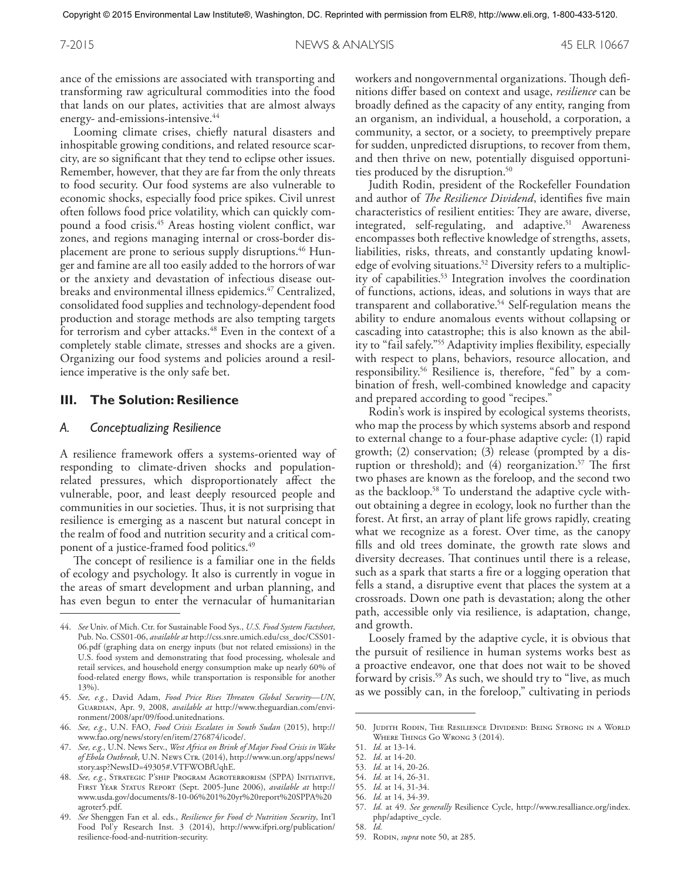ance of the emissions are associated with transporting and transforming raw agricultural commodities into the food that lands on our plates, activities that are almost always energy- and-emissions-intensive. 44

Looming climate crises, chiefy natural disasters and inhospitable growing conditions, and related resource scarcity, are so signifcant that they tend to eclipse other issues. Remember, however, that they are far from the only threats to food security. Our food systems are also vulnerable to economic shocks, especially food price spikes. Civil unrest often follows food price volatility, which can quickly compound a food crisis. 45 Areas hosting violent confict, war zones, and regions managing internal or cross-border displacement are prone to serious supply disruptions. 46 Hunger and famine are all too easily added to the horrors of war or the anxiety and devastation of infectious disease outbreaks and environmental illness epidemics. 47 Centralized, consolidated food supplies and technology-dependent food production and storage methods are also tempting targets for terrorism and cyber attacks. 48 Even in the context of a completely stable climate, stresses and shocks are a given. Organizing our food systems and policies around a resilience imperative is the only safe bet.

#### **III. The Solution: Resilience**

#### *A. Conceptualizing Resilience*

A resilience framework offers a systems-oriented way of responding to climate-driven shocks and populationrelated pressures, which disproportionately afect the vulnerable, poor, and least deeply resourced people and communities in our societies. Thus, it is not surprising that resilience is emerging as a nascent but natural concept in the realm of food and nutrition security and a critical component of a justice-framed food politics. 49

The concept of resilience is a familiar one in the fields of ecology and psychology. It also is currently in vogue in the areas of smart development and urban planning, and has even begun to enter the vernacular of humanitarian

workers and nongovernmental organizations. Though definitions difer based on context and usage, *resilience* can be broadly defned as the capacity of any entity, ranging from an organism, an individual, a household, a corporation, a community, a sector, or a society, to preemptively prepare for sudden, unpredicted disruptions, to recover from them, and then thrive on new, potentially disguised opportunities produced by the disruption. 50

Judith Rodin, president of the Rockefeller Foundation and author of *Te Resilience Dividend*, identifes fve main characteristics of resilient entities: They are aware, diverse, integrated, self-regulating, and adaptive. 51 Awareness encompasses both refective knowledge of strengths, assets, liabilities, risks, threats, and constantly updating knowledge of evolving situations. 52 Diversity refers to a multiplicity of capabilities. 53 Integration involves the coordination of functions, actions, ideas, and solutions in ways that are transparent and collaborative. 54 Self-regulation means the ability to endure anomalous events without collapsing or cascading into catastrophe; this is also known as the ability to "fail safely."55 Adaptivity implies fexibility, especially with respect to plans, behaviors, resource allocation, and responsibility. 56 Resilience is, therefore, "fed" by a combination of fresh, well-combined knowledge and capacity and prepared according to good "recipes."

Rodin's work is inspired by ecological systems theorists, who map the process by which systems absorb and respond to external change to a four-phase adaptive cycle: (1) rapid growth; (2) conservation; (3) release (prompted by a disruption or threshold); and (4) reorganization.<sup>57</sup> The first two phases are known as the foreloop, and the second two as the backloop. 58 To understand the adaptive cycle without obtaining a degree in ecology, look no further than the forest. At frst, an array of plant life grows rapidly, creating what we recognize as a forest. Over time, as the canopy flls and old trees dominate, the growth rate slows and diversity decreases. That continues until there is a release, such as a spark that starts a fre or a logging operation that fells a stand, a disruptive event that places the system at a crossroads. Down one path is devastation; along the other path, accessible only via resilience, is adaptation, change, and growth.

Loosely framed by the adaptive cycle, it is obvious that the pursuit of resilience in human systems works best as a proactive endeavor, one that does not wait to be shoved forward by crisis. 59 As such, we should try to "live, as much as we possibly can, in the foreloop," cultivating in periods

59. Rodin, *supra* note 50, at 285.

<sup>44.</sup> See Univ. of Mich. Ctr. for Sustainable Food Sys., *U.S. Food System Factsheet*, Pub. No. CSS01-06, *available at* http://css.snre.umich.edu/css\_doc/CSS01- 06.pdf (graphing data on energy inputs (but not related emissions) in the U.S. food system and demonstrating that food processing, wholesale and retail services, and household energy consumption make up nearly 60% of food-related energy fows, while transportation is responsible for another 13%).

<sup>45.</sup> See, e.g., David Adam, Food Price Rises Threaten Global Security--- UN, Guardian, Apr. 9, 2008, *available at* http://www.theguardian.com/environment/2008/apr/09/food.unitednations.

<sup>46.</sup> See, e.g., U.N. FAO, Food Crisis Escalates in South Sudan (2015), http:// www.fao.org/news/story/en/item/276874/icode/.

<sup>47.</sup> See, e.g., U.N. News Serv., West Africa on Brink of Major Food Crisis in Wake *PG&CPMB0VUCSFBL*, U.N. News Ctr. (2014), http://www.un.org/apps/news/ story.asp?NewsID=49305#.VTFWOBfUqhE.

<sup>48.</sup> See, e.g., STRATEGIC P'SHIP PROGRAM AGROTERRORISM (SPPA) INITIATIVE, First Year Status Report (Sept. 2005-June 2006), *available at* http:// www.usda.gov/documents/8-10-06%201%20yr%20report%20SPPA%20 agroter5.pdf.

<sup>49.</sup> See Shenggen Fan et al. eds., *Resilience for Food & Nutrition Security*, Int'l Food Pol'y Research Inst. 3 (2014), http://www.ifpri.org/publication/ resilience-food-and-nutrition-security.

<sup>50.</sup> Judith Rodin, The Resilience Dividend: Being Strong in a World Where Things Go Wrong 3 (2014).

<sup>51.</sup> *Id.* at 13-14.

<sup>52.</sup> *Id*. at 14-20.

<sup>53.</sup> *Id.* at 14, 20-26.

<sup>54.</sup> *Id.* at 14, 26-31.

<sup>55.</sup> *Id.* at 14, 31-34.

<sup>56.</sup> *Id.* at 14, 34-39.

<sup>57.</sup> Id. at 49. See generally Resilience Cycle, http://www.resalliance.org/index. php/adaptive\_cycle.

<sup>58.</sup> *Id.*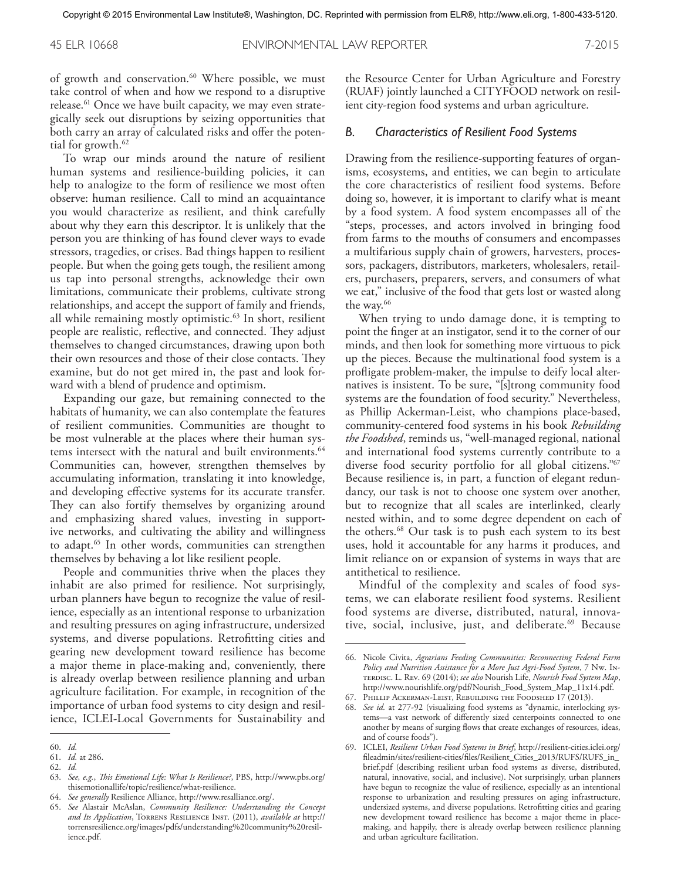45 ELR 10668 ENVIRONMENTAL LAW REPORTER 7-2015

of growth and conservation. 60 Where possible, we must take control of when and how we respond to a disruptive release. 61 Once we have built capacity, we may even strategically seek out disruptions by seizing opportunities that both carry an array of calculated risks and offer the potential for growth. 62

To wrap our minds around the nature of resilient human systems and resilience-building policies, it can help to analogize to the form of resilience we most often observe: human resilience. Call to mind an acquaintance you would characterize as resilient, and think carefully about why they earn this descriptor. It is unlikely that the person you are thinking of has found clever ways to evade stressors, tragedies, or crises. Bad things happen to resilient people. But when the going gets tough, the resilient among us tap into personal strengths, acknowledge their own limitations, communicate their problems, cultivate strong relationships, and accept the support of family and friends, all while remaining mostly optimistic. 63 In short, resilient people are realistic, reflective, and connected. They adjust themselves to changed circumstances, drawing upon both their own resources and those of their close contacts. They examine, but do not get mired in, the past and look forward with a blend of prudence and optimism.

Expanding our gaze, but remaining connected to the habitats of humanity, we can also contemplate the features of resilient communities. Communities are thought to be most vulnerable at the places where their human systems intersect with the natural and built environments. 64 Communities can, however, strengthen themselves by accumulating information, translating it into knowledge, and developing efective systems for its accurate transfer. They can also fortify themselves by organizing around and emphasizing shared values, investing in supportive networks, and cultivating the ability and willingness to adapt. 65 In other words, communities can strengthen themselves by behaving a lot like resilient people.

People and communities thrive when the places they inhabit are also primed for resilience. Not surprisingly, urban planners have begun to recognize the value of resilience, especially as an intentional response to urbanization and resulting pressures on aging infrastructure, undersized systems, and diverse populations. Retroftting cities and gearing new development toward resilience has become a major theme in place-making and, conveniently, there is already overlap between resilience planning and urban agriculture facilitation. For example, in recognition of the importance of urban food systems to city design and resilience, ICLEI-Local Governments for Sustainability and

64. See generally Resilience Alliance, http://www.resalliance.org/.

the Resource Center for Urban Agriculture and Forestry (RUAF) jointly launched a CITYFOOD network on resilient city-region food systems and urban agriculture.

#### *B. Characteristics of Resilient Food Systems*

Drawing from the resilience-supporting features of organisms, ecosystems, and entities, we can begin to articulate the core characteristics of resilient food systems. Before doing so, however, it is important to clarify what is meant by a food system. A food system encompasses all of the "steps, processes, and actors involved in bringing food from farms to the mouths of consumers and encompasses a multifarious supply chain of growers, harvesters, processors, packagers, distributors, marketers, wholesalers, retailers, purchasers, preparers, servers, and consumers of what we eat," inclusive of the food that gets lost or wasted along the way. 66

When trying to undo damage done, it is tempting to point the fnger at an instigator, send it to the corner of our minds, and then look for something more virtuous to pick up the pieces. Because the multinational food system is a profigate problem-maker, the impulse to deify local alternatives is insistent. To be sure, "[s]trong community food systems are the foundation of food security." Nevertheless, as Phillip Ackerman-Leist, who champions place-based, community-centered food systems in his book *Rebuilding the Foodshed*, reminds us, "well-managed regional, national and international food systems currently contribute to a diverse food security portfolio for all global citizens."<sup>67</sup> Because resilience is, in part, a function of elegant redundancy, our task is not to choose one system over another, but to recognize that all scales are interlinked, clearly nested within, and to some degree dependent on each of the others. 68 Our task is to push each system to its best uses, hold it accountable for any harms it produces, and limit reliance on or expansion of systems in ways that are antithetical to resilience.

Mindful of the complexity and scales of food systems, we can elaborate resilient food systems. Resilient food systems are diverse, distributed, natural, innovative, social, inclusive, just, and deliberate. 69 Because

<sup>60.</sup> *Id.*

<sup>61.</sup> *Id.* at 286.

<sup>62.</sup> *Id.*

<sup>63.</sup> See, e.g., This Emotional Life: What Is Resilience?, PBS, http://www.pbs.org/ thisemotionallife/topic/resilience/what-resilience.

<sup>65.</sup> See Alastair McAslan, *Community Resilience: Understanding the Concept BOE\*UT"QQMJDBUJPO*, Torrens Resilience Inst. (2011), *available at* http:// torrensresilience.org/images/pdfs/understanding%20community%20resilience.pdf.

<sup>66.</sup> Nicole Civita, *Agrarians Feeding Communities: Reconnecting Federal Farm Policy and Nutrition Assistance for a More Just Agri-Food System, 7 Nw. In-*TERDISC. L. REV. 69 (2014); see also Nourish Life, *Nourish Food System Map*, http://www.nourishlife.org/pdf/Nourish\_Food\_System\_Map\_11x14.pdf.

<sup>67.</sup> Phillip Ackerman-Leist, Rebuilding the Foodshed 17 (2013).

<sup>68.</sup> See id. at 277-92 (visualizing food systems as "dynamic, interlocking systems—a vast network of diferently sized centerpoints connected to one another by means of surging flows that create exchanges of resources, ideas, and of course foods").

<sup>69.</sup> ICLEI, Resilient Urban Food Systems in Brief, http://resilient-cities.iclei.org/ fleadmin/sites/resilient-cities/fles/Resilient\_Cities\_2013/RUFS/RUFS\_in\_ brief.pdf (describing resilient urban food systems as diverse, distributed, natural, innovative, social, and inclusive). Not surprisingly, urban planners have begun to recognize the value of resilience, especially as an intentional response to urbanization and resulting pressures on aging infrastructure, undersized systems, and diverse populations. Retroftting cities and gearing new development toward resilience has become a major theme in placemaking, and happily, there is already overlap between resilience planning and urban agriculture facilitation.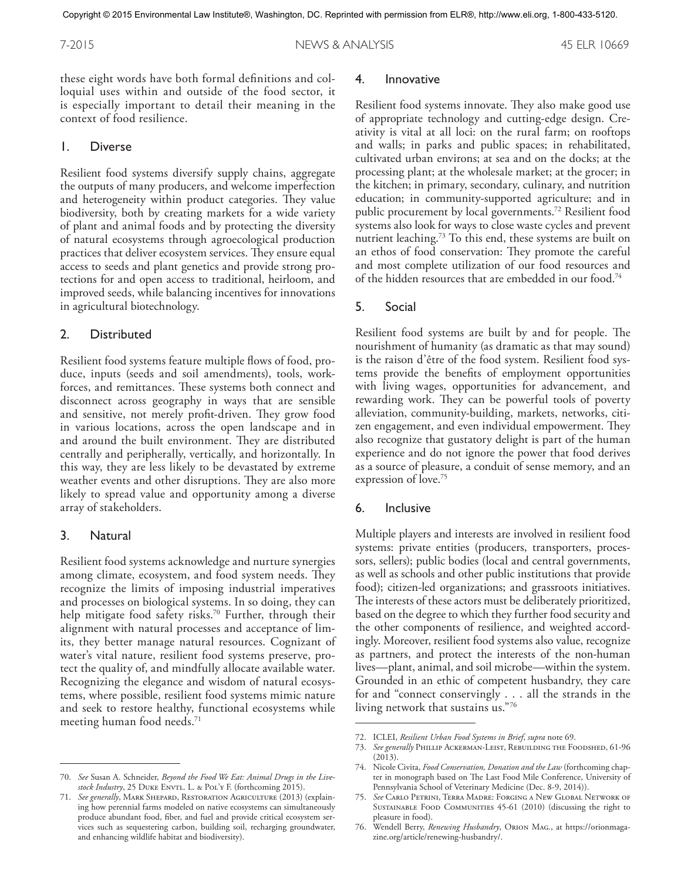these eight words have both formal defnitions and colloquial uses within and outside of the food sector, it is especially important to detail their meaning in the context of food resilience.

#### 1. Diverse

Resilient food systems diversify supply chains, aggregate the outputs of many producers, and welcome imperfection and heterogeneity within product categories. They value biodiversity, both by creating markets for a wide variety of plant and animal foods and by protecting the diversity of natural ecosystems through agroecological production practices that deliver ecosystem services. They ensure equal access to seeds and plant genetics and provide strong protections for and open access to traditional, heirloom, and improved seeds, while balancing incentives for innovations in agricultural biotechnology.

#### 2. Distributed

Resilient food systems feature multiple fows of food, produce, inputs (seeds and soil amendments), tools, workforces, and remittances. These systems both connect and disconnect across geography in ways that are sensible and sensitive, not merely profit-driven. They grow food in various locations, across the open landscape and in and around the built environment. They are distributed centrally and peripherally, vertically, and horizontally. In this way, they are less likely to be devastated by extreme weather events and other disruptions. They are also more likely to spread value and opportunity among a diverse array of stakeholders.

#### 3. Natural

Resilient food systems acknowledge and nurture synergies among climate, ecosystem, and food system needs. They recognize the limits of imposing industrial imperatives and processes on biological systems. In so doing, they can help mitigate food safety risks. 70 Further, through their alignment with natural processes and acceptance of limits, they better manage natural resources. Cognizant of water's vital nature, resilient food systems preserve, protect the quality of, and mindfully allocate available water. Recognizing the elegance and wisdom of natural ecosystems, where possible, resilient food systems mimic nature and seek to restore healthy, functional ecosystems while meeting human food needs. 71

#### 4. Innovative

Resilient food systems innovate. They also make good use of appropriate technology and cutting-edge design. Creativity is vital at all loci: on the rural farm; on rooftops and walls; in parks and public spaces; in rehabilitated, cultivated urban environs; at sea and on the docks; at the processing plant; at the wholesale market; at the grocer; in the kitchen; in primary, secondary, culinary, and nutrition education; in community-supported agriculture; and in public procurement by local governments. 72 Resilient food systems also look for ways to close waste cycles and prevent nutrient leaching. 73 To this end, these systems are built on an ethos of food conservation: They promote the careful and most complete utilization of our food resources and of the hidden resources that are embedded in our food. 74

#### 5. Social

Resilient food systems are built by and for people. The nourishment of humanity (as dramatic as that may sound) is the raison d'être of the food system. Resilient food systems provide the benefts of employment opportunities with living wages, opportunities for advancement, and rewarding work. They can be powerful tools of poverty alleviation, community-building, markets, networks, citizen engagement, and even individual empowerment. They also recognize that gustatory delight is part of the human experience and do not ignore the power that food derives as a source of pleasure, a conduit of sense memory, and an expression of love. 75

#### 6. Inclusive

Multiple players and interests are involved in resilient food systems: private entities (producers, transporters, processors, sellers); public bodies (local and central governments, as well as schools and other public institutions that provide food); citizen-led organizations; and grassroots initiatives. The interests of these actors must be deliberately prioritized, based on the degree to which they further food security and the other components of resilience, and weighted accordingly. Moreover, resilient food systems also value, recognize as partners, and protect the interests of the non-human lives—plant, animal, and soil microbe—within the system. Grounded in an ethic of competent husbandry, they care for and "connect conservingly . . . all the strands in the living network that sustains us."76

<sup>70.</sup> See Susan A. Schneider, *Beyond the Food We Eat: Animal Drugs in the Live*stock Industry, 25 DUKE ENVTL. L. & POL'Y F. (forthcoming 2015).

<sup>71.</sup> See generally, MARK SHEPARD, RESTORATION AGRICULTURE (2013) (explaining how perennial farms modeled on native ecosystems can simultaneously produce abundant food, fber, and fuel and provide critical ecosystem services such as sequestering carbon, building soil, recharging groundwater, and enhancing wildlife habitat and biodiversity).

<sup>72.</sup> ICLEI, *Resilient Urban Food Systems in Brief*, *supra* note 69.

<sup>73.</sup> See generally PHILLIP ACKERMAN-LEIST, REBUILDING THE FOODSHED, 61-96  $(2013).$ 

<sup>74.</sup> Nicole Civita, *Food Conservation, Donation and the Law* (forthcoming chapter in monograph based on The Last Food Mile Conference, University of Pennsylvania School of Veterinary Medicine (Dec. 8-9, 2014)).

See Carlo Petrini, Terra Madre: Forging a New Global Network of SUSTAINABLE FOOD COMMUNITIES 45-61 (2010) (discussing the right to pleasure in food).

<sup>76.</sup> Wendell Berry, *Renewing Husbandry*, Orion Mag., at https://orionmagazine.org/article/renewing-husbandry/.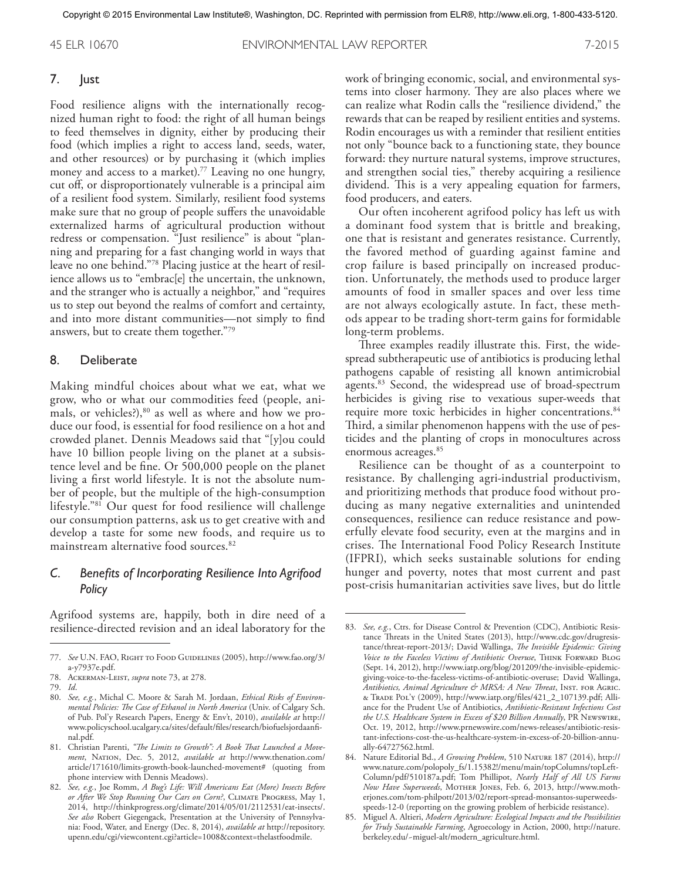45 ELR 10670 ENVIRONMENTAL LAW REPORTER 7-2015

#### 7. Just

Food resilience aligns with the internationally recognized human right to food: the right of all human beings to feed themselves in dignity, either by producing their food (which implies a right to access land, seeds, water, and other resources) or by purchasing it (which implies money and access to a market). 77 Leaving no one hungry, cut off, or disproportionately vulnerable is a principal aim of a resilient food system. Similarly, resilient food systems make sure that no group of people sufers the unavoidable externalized harms of agricultural production without redress or compensation. "Just resilience" is about "planning and preparing for a fast changing world in ways that leave no one behind."78 Placing justice at the heart of resilience allows us to "embrac[e] the uncertain, the unknown, and the stranger who is actually a neighbor," and "requires us to step out beyond the realms of comfort and certainty, and into more distant communities—not simply to fnd answers, but to create them together."79

### 8. Deliberate

Making mindful choices about what we eat, what we grow, who or what our commodities feed (people, animals, or vehicles?), $80$  as well as where and how we produce our food, is essential for food resilience on a hot and crowded planet. Dennis Meadows said that "[y]ou could have 10 billion people living on the planet at a subsistence level and be fne. Or 500,000 people on the planet living a frst world lifestyle. It is not the absolute number of people, but the multiple of the high-consumption lifestyle."81 Our quest for food resilience will challenge our consumption patterns, ask us to get creative with and develop a taste for some new foods, and require us to mainstream alternative food sources. 82

## *C. Benefits of Incorporating Resilience Into Agrifood Policy*

Agrifood systems are, happily, both in dire need of a resilience-directed revision and an ideal laboratory for the work of bringing economic, social, and environmental systems into closer harmony. They are also places where we can realize what Rodin calls the "resilience dividend," the rewards that can be reaped by resilient entities and systems. Rodin encourages us with a reminder that resilient entities not only "bounce back to a functioning state, they bounce forward: they nurture natural systems, improve structures, and strengthen social ties," thereby acquiring a resilience dividend. This is a very appealing equation for farmers, food producers, and eaters.

Our often incoherent agrifood policy has left us with a dominant food system that is brittle and breaking, one that is resistant and generates resistance. Currently, the favored method of guarding against famine and crop failure is based principally on increased production. Unfortunately, the methods used to produce larger amounts of food in smaller spaces and over less time are not always ecologically astute. In fact, these methods appear to be trading short-term gains for formidable long-term problems.

Three examples readily illustrate this. First, the widespread subtherapeutic use of antibiotics is producing lethal pathogens capable of resisting all known antimicrobial agents. 83 Second, the widespread use of broad-spectrum herbicides is giving rise to vexatious super-weeds that require more toxic herbicides in higher concentrations. 84 Third, a similar phenomenon happens with the use of pesticides and the planting of crops in monocultures across enormous acreages. 85

Resilience can be thought of as a counterpoint to resistance. By challenging agri-industrial productivism, and prioritizing methods that produce food without producing as many negative externalities and unintended consequences, resilience can reduce resistance and powerfully elevate food security, even at the margins and in crises. The International Food Policy Research Institute (IFPRI), which seeks sustainable solutions for ending hunger and poverty, notes that most current and past post-crisis humanitarian activities save lives, but do little

<sup>77.</sup> *See U.N. FAO, RIGHT TO FOOD GUIDELINES (2005), http://www.fao.org/3/* a-y7937e.pdf.

<sup>78.</sup> Ackerman-Leist, *supra* note 73, at 278.

<sup>79.</sup> *Id*.

<sup>80.</sup> See, e.g., Michal C. Moore & Sarah M. Jordaan, *Ethical Risks of Environ*mental Policies: The Case of Ethanol in North America (Univ. of Calgary Sch. of Pub. Pol'y Research Papers, Energy & Env't, 2010), *available at* http:// www.policyschool.ucalgary.ca/sites/default/fles/research/biofuelsjordaanfnal.pdf.

<sup>81.</sup> Christian Parenti, "The Limits to Growth": A Book That Launched a Move*ment*, Nation, Dec. 5, 2012, *available at* http://www.thenation.com/ article/171610/limits-growth-book-launched-movement# (quoting from phone interview with Dennis Meadows).

<sup>82.</sup> See, e.g., Joe Romm, *A Bug's Life: Will Americans Eat (More) Insects Before* or After We Stop Running Our Cars on Corn?, CLIMATE PROGRESS, May 1, 2014, http://thinkprogress.org/climate/2014/05/01/2112531/eat-insects/. See also Robert Giegengack, Presentation at the University of Pennsylvania: Food, Water, and Energy (Dec. 8, 2014), *available at* http://repository. upenn.edu/cgi/viewcontent.cgi?article=1008&context=thelastfoodmile.

<sup>83.</sup> See, e.g., Ctrs. for Disease Control & Prevention (CDC), Antibiotic Resistance Threats in the United States (2013), http://www.cdc.gov/drugresistance/threat-report-2013/; David Wallinga, *The Invisible Epidemic: Giving* Voice to the Faceless Victims of Antibiotic Overuse, THINK FORWARD BLOG (Sept. 14, 2012), http://www.iatp.org/blog/201209/the-invisible-epidemicgiving-voice-to-the-faceless-victims-of-antibiotic-overuse; David Wallinga, Antibiotics, Animal Agriculture & MRSA: A New Threat, INST. FOR AGRIC. & Trade Pol'y (2009), http://www.iatp.org/fles/421\_2\_107139.pdf; Alliance for the Prudent Use of Antibiotics, *Antibiotic-Resistant Infections Cost the U.S. Healthcare System in Excess of \$20 Billion Annually*, PR Newswire, Oct. 19, 2012, http://www.prnewswire.com/news-releases/antibiotic-resistant-infections-cost-the-us-healthcare-system-in-excess-of-20-billion-annually-64727562.html.

<sup>84.</sup> Nature Editorial Bd., *A Growing Problem*, 510 NATURE 187 (2014), http:// www.nature.com/polopoly\_fs/1.15382!/menu/main/topColumns/topLeft-Column/pdf/510187a.pdf; Tom Phillipot, *Nearly Half of All US Farms Now Have Superweeds*, Мотнек JONES, Feb. 6, 2013, http://www.motherjones.com/tom-philpott/2013/02/report-spread-monsantos-superweedsspeeds-12-0 (reporting on the growing problem of herbicide resistance).

<sup>85.</sup> Miguel A. Altieri, *Modern Agriculture: Ecological Impacts and the Possibilities* for Truly Sustainable Farming, Agroecology in Action, 2000, http://nature. berkeley.edu/~miguel-alt/modern\_agriculture.html.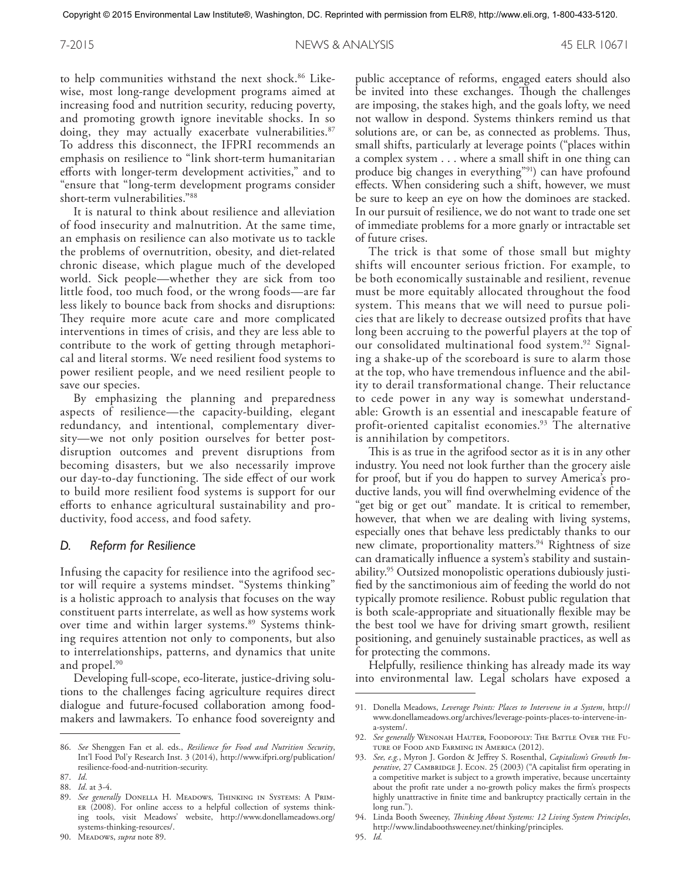to help communities withstand the next shock. 86 Likewise, most long-range development programs aimed at increasing food and nutrition security, reducing poverty, and promoting growth ignore inevitable shocks. In so doing, they may actually exacerbate vulnerabilities. 87 To address this disconnect, the IFPRI recommends an emphasis on resilience to "link short-term humanitarian eforts with longer-term development activities," and to "ensure that "long-term development programs consider short-term vulnerabilities."88

It is natural to think about resilience and alleviation of food insecurity and malnutrition. At the same time, an emphasis on resilience can also motivate us to tackle the problems of overnutrition, obesity, and diet-related chronic disease, which plague much of the developed world. Sick people—whether they are sick from too little food, too much food, or the wrong foods—are far less likely to bounce back from shocks and disruptions: They require more acute care and more complicated interventions in times of crisis, and they are less able to contribute to the work of getting through metaphorical and literal storms. We need resilient food systems to power resilient people, and we need resilient people to save our species.

By emphasizing the planning and preparedness aspects of resilience—the capacity-building, elegant redundancy, and intentional, complementary diversity—we not only position ourselves for better postdisruption outcomes and prevent disruptions from becoming disasters, but we also necessarily improve our day-to-day functioning. The side effect of our work to build more resilient food systems is support for our eforts to enhance agricultural sustainability and productivity, food access, and food safety.

#### *D. Reform for Resilience*

Infusing the capacity for resilience into the agrifood sector will require a systems mindset. "Systems thinking" is a holistic approach to analysis that focuses on the way constituent parts interrelate, as well as how systems work over time and within larger systems. 89 Systems thinking requires attention not only to components, but also to interrelationships, patterns, and dynamics that unite and propel. 90

Developing full-scope, eco-literate, justice-driving solutions to the challenges facing agriculture requires direct dialogue and future-focused collaboration among foodmakers and lawmakers. To enhance food sovereignty and

public acceptance of reforms, engaged eaters should also be invited into these exchanges. Though the challenges are imposing, the stakes high, and the goals lofty, we need not wallow in despond. Systems thinkers remind us that solutions are, or can be, as connected as problems. Tus, small shifts, particularly at leverage points ("places within a complex system . . . where a small shift in one thing can produce big changes in everything"91) can have profound efects. When considering such a shift, however, we must be sure to keep an eye on how the dominoes are stacked. In our pursuit of resilience, we do not want to trade one set of immediate problems for a more gnarly or intractable set of future crises.

The trick is that some of those small but mighty shifts will encounter serious friction. For example, to be both economically sustainable and resilient, revenue must be more equitably allocated throughout the food system. This means that we will need to pursue policies that are likely to decrease outsized profits that have long been accruing to the powerful players at the top of our consolidated multinational food system. 92 Signaling a shake-up of the scoreboard is sure to alarm those at the top, who have tremendous influence and the ability to derail transformational change. Their reluctance to cede power in any way is somewhat understandable: Growth is an essential and inescapable feature of profit-oriented capitalist economies. 93 The alternative is annihilation by competitors.

This is as true in the agrifood sector as it is in any other industry. You need not look further than the grocery aisle for proof, but if you do happen to survey America's productive lands, you will fnd overwhelming evidence of the "get big or get out" mandate. It is critical to remember, however, that when we are dealing with living systems, especially ones that behave less predictably thanks to our new climate, proportionality matters. 94 Rightness of size can dramatically infuence a system's stability and sustainability. 95 Outsized monopolistic operations dubiously justifed by the sanctimonious aim of feeding the world do not typically promote resilience. Robust public regulation that is both scale-appropriate and situationally fexible may be the best tool we have for driving smart growth, resilient positioning, and genuinely sustainable practices, as well as for protecting the commons.

Helpfully, resilience thinking has already made its way into environmental law. Legal scholars have exposed a

<sup>86.</sup> See Shenggen Fan et al. eds., *Resilience for Food and Nutrition Security*, Int'l Food Pol'y Research Inst. 3 (2014), http://www.ifpri.org/publication/ resilience-food-and-nutrition-security.

<sup>87.</sup> *Id*.

<sup>88.</sup> *Id*. at 3-4.

<sup>89.</sup> See generally DONELLA H. MEADOWS, THINKING IN SYSTEMS: A PRIMer (2008). For online access to a helpful collection of systems thinking tools, visit Meadows' website, http://www.donellameadows.org/ systems-thinking-resources/.

<sup>91.</sup> Donella Meadows, *Leverage Points: Places to Intervene in a System*, http:// www.donellameadows.org/archives/leverage-points-places-to-intervene-ina-system/.

<sup>92.</sup> See generally WENONAH HAUTER, FOODOPOLY: THE BATTLE OVER THE FUture of Food and Farming in America (2012).

<sup>93.</sup> See, e.g., Myron J. Gordon & Jeffrey S. Rosenthal, *Capitalism's Growth Imperative*, 27 CAMBRIDGE J. ECON. 25 (2003) ("A capitalist firm operating in a competitive market is subject to a growth imperative, because uncertainty about the proft rate under a no-growth policy makes the frm's prospects highly unattractive in fnite time and bankruptcy practically certain in the long run.").

<sup>94.</sup> Linda Booth Sweeney, *Thinking About Systems: 12 Living System Principles*, http://www.lindaboothsweeney.net/thinking/principles.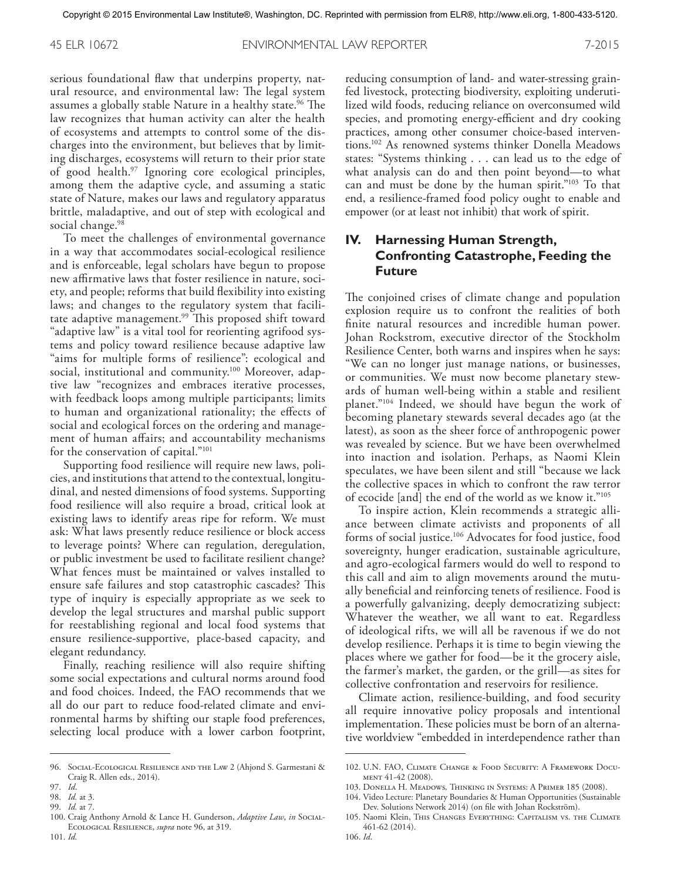serious foundational faw that underpins property, natural resource, and environmental law: The legal system assumes a globally stable Nature in a healthy state.<sup>96</sup> The law recognizes that human activity can alter the health of ecosystems and attempts to control some of the discharges into the environment, but believes that by limiting discharges, ecosystems will return to their prior state of good health. 97 Ignoring core ecological principles, among them the adaptive cycle, and assuming a static state of Nature, makes our laws and regulatory apparatus brittle, maladaptive, and out of step with ecological and social change. 98

To meet the challenges of environmental governance in a way that accommodates social-ecological resilience and is enforceable, legal scholars have begun to propose new affirmative laws that foster resilience in nature, society, and people; reforms that build fexibility into existing laws; and changes to the regulatory system that facilitate adaptive management. <sup>99</sup> Tis proposed shift toward "adaptive law" is a vital tool for reorienting agrifood systems and policy toward resilience because adaptive law "aims for multiple forms of resilience": ecological and social, institutional and community. 100 Moreover, adaptive law "recognizes and embraces iterative processes, with feedback loops among multiple participants; limits to human and organizational rationality; the efects of social and ecological forces on the ordering and management of human afairs; and accountability mechanisms for the conservation of capital."101

Supporting food resilience will require new laws, policies, and institutions that attend to the contextual, longitudinal, and nested dimensions of food systems. Supporting food resilience will also require a broad, critical look at existing laws to identify areas ripe for reform. We must ask: What laws presently reduce resilience or block access to leverage points? Where can regulation, deregulation, or public investment be used to facilitate resilient change? What fences must be maintained or valves installed to ensure safe failures and stop catastrophic cascades? This type of inquiry is especially appropriate as we seek to develop the legal structures and marshal public support for reestablishing regional and local food systems that ensure resilience-supportive, place-based capacity, and elegant redundancy.

Finally, reaching resilience will also require shifting some social expectations and cultural norms around food and food choices. Indeed, the FAO recommends that we all do our part to reduce food-related climate and environmental harms by shifting our staple food preferences, selecting local produce with a lower carbon footprint,

reducing consumption of land- and water-stressing grainfed livestock, protecting biodiversity, exploiting underutilized wild foods, reducing reliance on overconsumed wild species, and promoting energy-efficient and dry cooking practices, among other consumer choice-based interventions. 102 As renowned systems thinker Donella Meadows states: "Systems thinking . . . can lead us to the edge of what analysis can do and then point beyond—to what can and must be done by the human spirit."<sup>103</sup> To that end, a resilience-framed food policy ought to enable and empower (or at least not inhibit) that work of spirit.

## **IV. Harnessing Human Strength, Confronting Catastrophe, Feeding the Future**

The conjoined crises of climate change and population explosion require us to confront the realities of both fnite natural resources and incredible human power. Johan Rockstrom, executive director of the Stockholm Resilience Center, both warns and inspires when he says: "We can no longer just manage nations, or businesses, or communities. We must now become planetary stewards of human well-being within a stable and resilient planet."104 Indeed, we should have begun the work of becoming planetary stewards several decades ago (at the latest), as soon as the sheer force of anthropogenic power was revealed by science. But we have been overwhelmed into inaction and isolation. Perhaps, as Naomi Klein speculates, we have been silent and still "because we lack the collective spaces in which to confront the raw terror of ecocide [and] the end of the world as we know it."105

To inspire action, Klein recommends a strategic alliance between climate activists and proponents of all forms of social justice. 106 Advocates for food justice, food sovereignty, hunger eradication, sustainable agriculture, and agro-ecological farmers would do well to respond to this call and aim to align movements around the mutually benefcial and reinforcing tenets of resilience. Food is a powerfully galvanizing, deeply democratizing subject: Whatever the weather, we all want to eat. Regardless of ideological rifts, we will all be ravenous if we do not develop resilience. Perhaps it is time to begin viewing the places where we gather for food—be it the grocery aisle, the farmer's market, the garden, or the grill—as sites for collective confrontation and reservoirs for resilience.

Climate action, resilience-building, and food security all require innovative policy proposals and intentional implementation. These policies must be born of an alternative worldview "embedded in interdependence rather than

<sup>96.</sup> Social-Ecological Resilience and the Law 2 (Ahjond S. Garmestani & Craig R. Allen eds., 2014).

<sup>97.</sup> *Id*.

<sup>98.</sup> *Id.* at 3.

<sup>99.</sup> *Id.* at 7.

<sup>100.</sup> Craig Anthony Arnold & Lance H. Gunderson, *Adaptive Law*, in Social-Ecological Resilience, *supra* note 96, at 319. 101. *Id.*

<sup>102.</sup> U.N. FAO, Climate Change & Food Security: A Framework Document 41-42 (2008).

<sup>103.</sup> Donella H. Meadows*,* Thinking in Systems: A Primer 185 (2008).

<sup>104.</sup> Video Lecture: Planetary Boundaries & Human Opportunities (Sustainable Dev. Solutions Network 2014) (on fle with Johan Rockström).

<sup>105.</sup> Naomi Klein, This Changes Everything: Capitalism vs. the Climate 461-62 (2014).